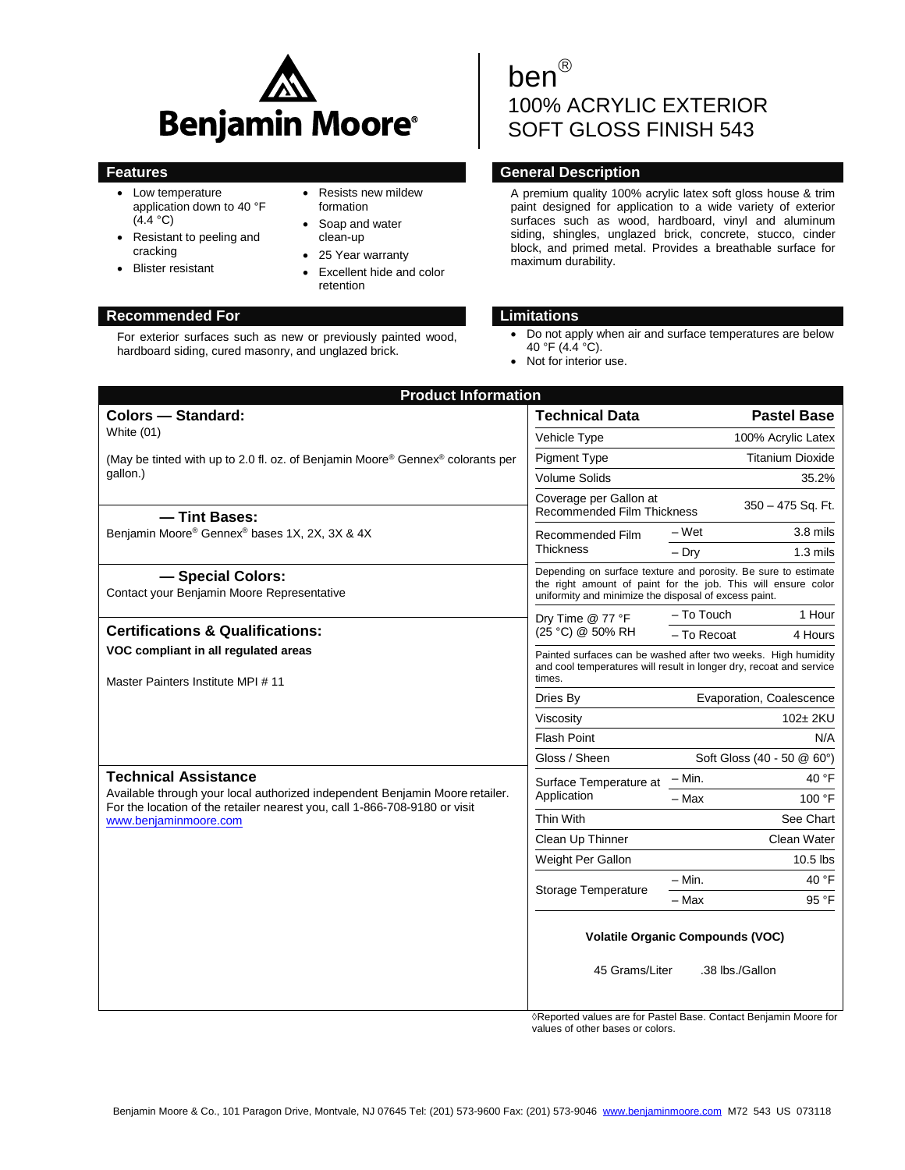

- Low temperature application down to 40 °F  $(4.4 °C)$
- Resistant to peeling and cracking
- Blister resistant
- Resists new mildew formation
- Soap and water clean-up
- 25 Year warranty
- Excellent hide and color retention

# **Recommended For Limitations**

For exterior surfaces such as new or previously painted wood, hardboard siding, cured masonry, and unglazed brick.

# ben 100% ACRYLIC EXTERIOR SOFT GLOSS FINISH 543

# **Features General Description**

A premium quality 100% acrylic latex soft gloss house & trim paint designed for application to a wide variety of exterior surfaces such as wood, hardboard, vinyl and aluminum siding, shingles, unglazed brick, concrete, stucco, cinder block, and primed metal. Provides a breathable surface for maximum durability.

- Do not apply when air and surface temperatures are below 40 °F (4.4 °C).
- Not for interior use.

| <b>Product Information</b>                                                                                                                                                                                         |                                                                                                                                                                                          |                            |                         |  |  |
|--------------------------------------------------------------------------------------------------------------------------------------------------------------------------------------------------------------------|------------------------------------------------------------------------------------------------------------------------------------------------------------------------------------------|----------------------------|-------------------------|--|--|
| <b>Colors - Standard:</b>                                                                                                                                                                                          | <b>Technical Data</b>                                                                                                                                                                    |                            | <b>Pastel Base</b>      |  |  |
| White $(01)$                                                                                                                                                                                                       | Vehicle Type                                                                                                                                                                             |                            | 100% Acrylic Latex      |  |  |
| (May be tinted with up to 2.0 fl. oz. of Benjamin Moore® Gennex® colorants per<br>qallon.)                                                                                                                         | <b>Pigment Type</b>                                                                                                                                                                      |                            | <b>Titanium Dioxide</b> |  |  |
|                                                                                                                                                                                                                    | <b>Volume Solids</b>                                                                                                                                                                     |                            | 35.2%                   |  |  |
| - Tint Bases:                                                                                                                                                                                                      | Coverage per Gallon at<br><b>Recommended Film Thickness</b>                                                                                                                              |                            | 350 - 475 Sq. Ft.       |  |  |
| Benjamin Moore® Gennex® bases 1X, 2X, 3X & 4X                                                                                                                                                                      | Recommended Film<br><b>Thickness</b>                                                                                                                                                     | – Wet                      | $3.8$ mils              |  |  |
|                                                                                                                                                                                                                    |                                                                                                                                                                                          | $-$ Dry                    | $1.3 \text{ miles}$     |  |  |
| - Special Colors:<br>Contact your Benjamin Moore Representative                                                                                                                                                    | Depending on surface texture and porosity. Be sure to estimate<br>the right amount of paint for the job. This will ensure color<br>uniformity and minimize the disposal of excess paint. |                            |                         |  |  |
|                                                                                                                                                                                                                    | Dry Time @ 77 °F<br>(25 °C) @ 50% RH                                                                                                                                                     | - To Touch                 | 1 Hour                  |  |  |
| <b>Certifications &amp; Qualifications:</b>                                                                                                                                                                        |                                                                                                                                                                                          | - To Recoat                | 4 Hours                 |  |  |
| VOC compliant in all regulated areas<br>Master Painters Institute MPI # 11                                                                                                                                         | Painted surfaces can be washed after two weeks. High humidity<br>and cool temperatures will result in longer dry, recoat and service<br>times.                                           |                            |                         |  |  |
|                                                                                                                                                                                                                    | Dries By                                                                                                                                                                                 | Evaporation, Coalescence   |                         |  |  |
|                                                                                                                                                                                                                    | Viscosity                                                                                                                                                                                | 102± 2KU                   |                         |  |  |
|                                                                                                                                                                                                                    | <b>Flash Point</b>                                                                                                                                                                       | N/A                        |                         |  |  |
|                                                                                                                                                                                                                    | Gloss / Sheen                                                                                                                                                                            | Soft Gloss (40 - 50 @ 60°) |                         |  |  |
| <b>Technical Assistance</b><br>Available through your local authorized independent Benjamin Moore retailer.<br>For the location of the retailer nearest you, call 1-866-708-9180 or visit<br>www.benjaminmoore.com | Surface Temperature at<br>Application                                                                                                                                                    | $-$ Min.                   | 40 °F                   |  |  |
|                                                                                                                                                                                                                    |                                                                                                                                                                                          | $-$ Max                    | 100 °F                  |  |  |
|                                                                                                                                                                                                                    | Thin With                                                                                                                                                                                |                            | See Chart               |  |  |
|                                                                                                                                                                                                                    | Clean Up Thinner                                                                                                                                                                         |                            | Clean Water             |  |  |
|                                                                                                                                                                                                                    | Weight Per Gallon                                                                                                                                                                        |                            | $10.5$ lbs              |  |  |
|                                                                                                                                                                                                                    | Storage Temperature                                                                                                                                                                      | $- Min.$                   | 40 °F                   |  |  |
|                                                                                                                                                                                                                    |                                                                                                                                                                                          | $-$ Max                    | 95 °F                   |  |  |
|                                                                                                                                                                                                                    | <b>Volatile Organic Compounds (VOC)</b><br>45 Grams/Liter<br>.38 lbs./Gallon                                                                                                             |                            |                         |  |  |
|                                                                                                                                                                                                                    |                                                                                                                                                                                          |                            |                         |  |  |

◊Reported values are for Pastel Base. Contact Benjamin Moore for values of other bases or colors.